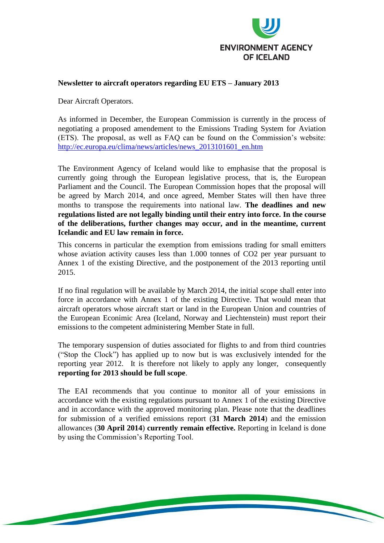

## **Newsletter to aircraft operators regarding EU ETS – January 2013**

Dear Aircraft Operators.

As informed in December, the European Commission is currently in the process of negotiating a proposed amendement to the Emissions Trading System for Aviation (ETS). The proposal, as well as FAQ can be found on the Commission's website: [http://ec.europa.eu/clima/news/articles/news\\_2013101601\\_en.htm](http://ec.europa.eu/clima/news/articles/news_2013101601_en.htm)

The Environment Agency of Iceland would like to emphasise that the proposal is currently going through the European legislative process, that is, the European Parliament and the Council. The European Commission hopes that the proposal will be agreed by March 2014, and once agreed, Member States will then have three months to transpose the requirements into national law. **The deadlines and new regulations listed are not legally binding until their entry into force. In the course of the deliberations, further changes may occur, and in the meantime, current Icelandic and EU law remain in force.**

This concerns in particular the exemption from emissions trading for small emitters whose aviation activity causes less than 1.000 tonnes of CO2 per year pursuant to Annex 1 of the existing Directive, and the postponement of the 2013 reporting until 2015.

If no final regulation will be available by March 2014, the initial scope shall enter into force in accordance with Annex 1 of the existing Directive. That would mean that aircraft operators whose aircraft start or land in the European Union and countries of the European Econimic Area (Iceland, Norway and Liechtenstein) must report their emissions to the competent administering Member State in full.

The temporary suspension of duties associated for flights to and from third countries ("Stop the Clock") has applied up to now but is was exclusively intended for the reporting year 2012. It is therefore not likely to apply any longer, consequently **reporting for 2013 should be full scope**.

The EAI recommends that you continue to monitor all of your emissions in accordance with the existing regulations pursuant to Annex 1 of the existing Directive and in accordance with the approved monitoring plan. Please note that the deadlines for submission of a verified emissions report (**31 March 2014**) and the emission allowances (**30 April 2014**) **currently remain effective.** Reporting in Iceland is done by using the Commission's Reporting Tool.